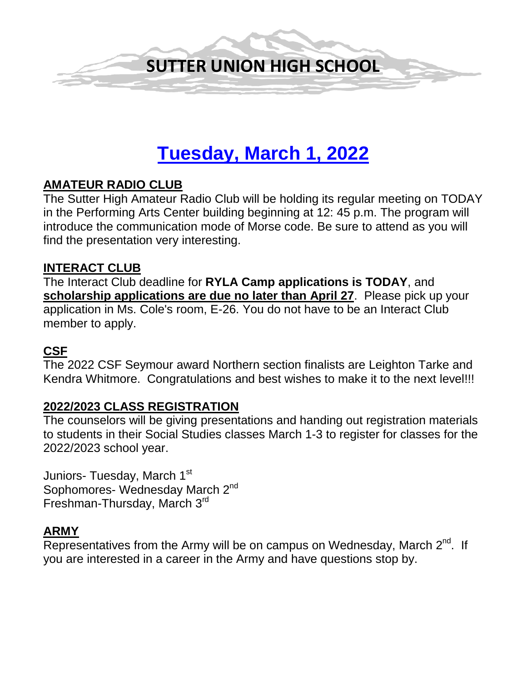

# **Tuesday, March 1, 2022**

#### **AMATEUR RADIO CLUB**

The Sutter High Amateur Radio Club will be holding its regular meeting on TODAY in the Performing Arts Center building beginning at 12: 45 p.m. The program will introduce the communication mode of Morse code. Be sure to attend as you will find the presentation very interesting.

#### **INTERACT CLUB**

The Interact Club deadline for **RYLA Camp applications is TODAY**, and **scholarship applications are due no later than April 27**. Please pick up your application in Ms. Cole's room, E-26. You do not have to be an Interact Club member to apply.

## **CSF**

The 2022 CSF Seymour award Northern section finalists are Leighton Tarke and Kendra Whitmore. Congratulations and best wishes to make it to the next level!!!

#### **2022/2023 CLASS REGISTRATION**

The counselors will be giving presentations and handing out registration materials to students in their Social Studies classes March 1-3 to register for classes for the 2022/2023 school year.

Juniors- Tuesday, March 1st Sophomores- Wednesday March 2<sup>nd</sup> Freshman-Thursday, March 3rd

#### **ARMY**

Representatives from the Army will be on campus on Wednesday, March  $2^{nd}$ . If you are interested in a career in the Army and have questions stop by.